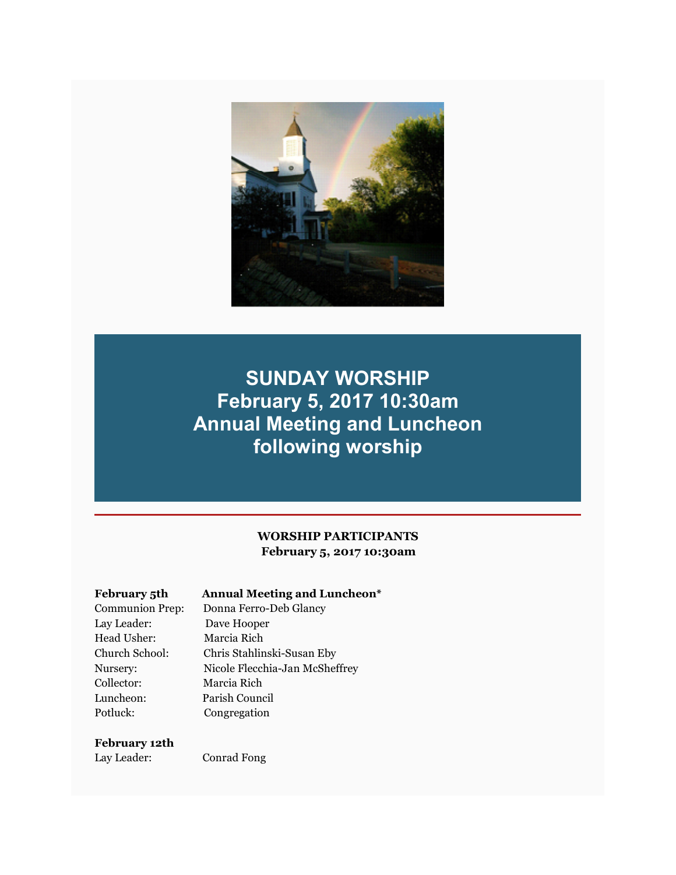

## **SUNDAY WORSHIP February 5, 2017 10:30am Annual Meeting and Luncheon following worship**

#### **WORSHIP PARTICIPANTS February 5, 2017 10:30am**

#### **February 5th Annual Meeting and Luncheon\***

Communion Prep: Donna Ferro-Deb Glancy Lay Leader: Dave Hooper Head Usher: Marcia Rich Collector: Marcia Rich Luncheon: Parish Council Potluck: Congregation

# Church School: Chris Stahlinski-Susan Eby Nursery: Nicole Flecchia-Jan McSheffrey

#### **February 12th**

Lay Leader: Conrad Fong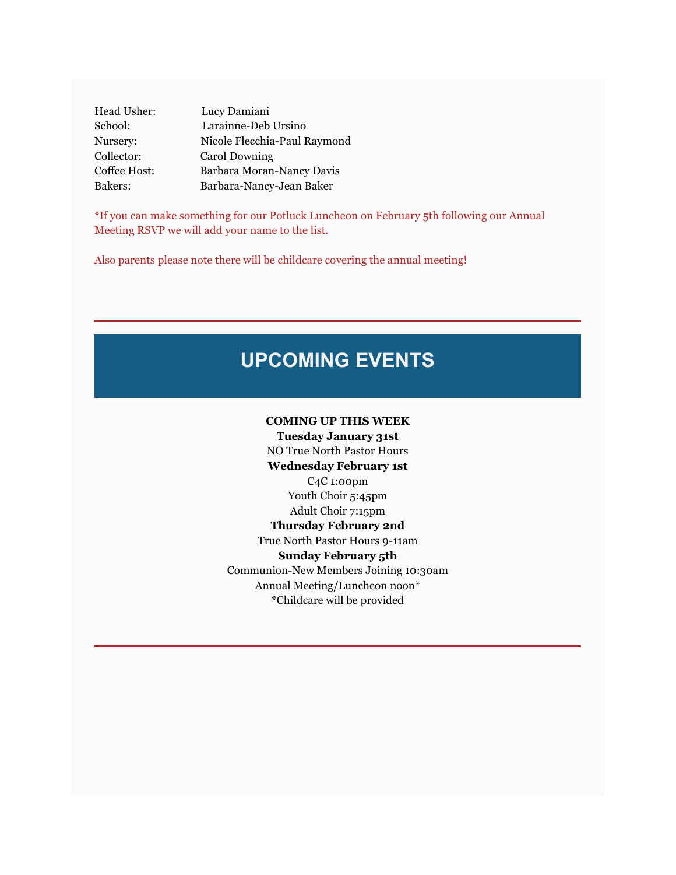Head Usher: Lucy Damiani School: Larainne-Deb Ursino Nursery: Nicole Flecchia-Paul Raymond Collector: Carol Downing Coffee Host: Barbara Moran-Nancy Davis Bakers: Barbara-Nancy-Jean Baker

\*If you can make something for our Potluck Luncheon on February 5th following our Annual Meeting RSVP we will add your name to the list.

Also parents please note there will be childcare covering the annual meeting!

# **UPCOMING EVENTS**

#### **COMING UP THIS WEEK**

**Tuesday January 31st** NO True North Pastor Hours **Wednesday February 1st** C4C 1:00pm Youth Choir 5:45pm Adult Choir 7:15pm **Thursday February 2nd** True North Pastor Hours 9-11am **Sunday February 5th** Communion-New Members Joining 10:30am Annual Meeting/Luncheon noon\* \*Childcare will be provided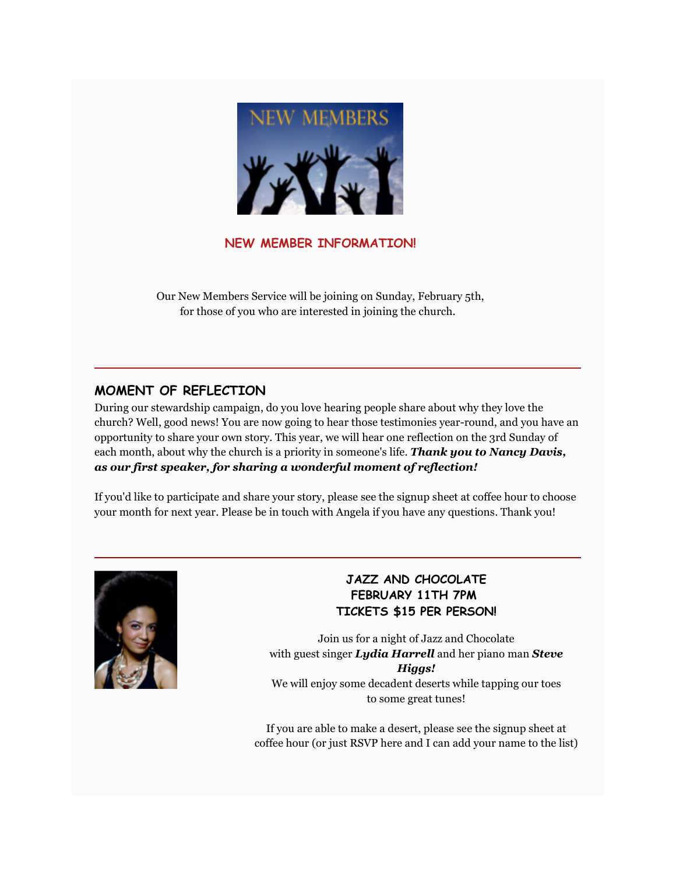

**NEW MEMBER INFORMATION!**

Our New Members Service will be joining on Sunday, February 5th, for those of you who are interested in joining the church.

#### **MOMENT OF REFLECTION**

During our stewardship campaign, do you love hearing people share about why they love the church? Well, good news! You are now going to hear those testimonies year-round, and you have an opportunity to share your own story. This year, we will hear one reflection on the 3rd Sunday of each month, about why the church is a priority in someone's life. *Thank you to Nancy Davis, as our first speaker, for sharing a wonderful moment of reflection!*

If you'd like to participate and share your story, please see the signup sheet at coffee hour to choose your month for next year. Please be in touch with Angela if you have any questions. Thank you!



#### **JAZZ AND CHOCOLATE FEBRUARY 11TH 7PM TICKETS \$15 PER PERSON!**

Join us for a night of Jazz and Chocolate with guest singer *Lydia Harrell* and her piano man *Steve Higgs!* We will enjoy some decadent deserts while tapping our toes to some great tunes!

If you are able to make a desert, please see the signup sheet at coffee hour (or just RSVP here and I can add your name to the list)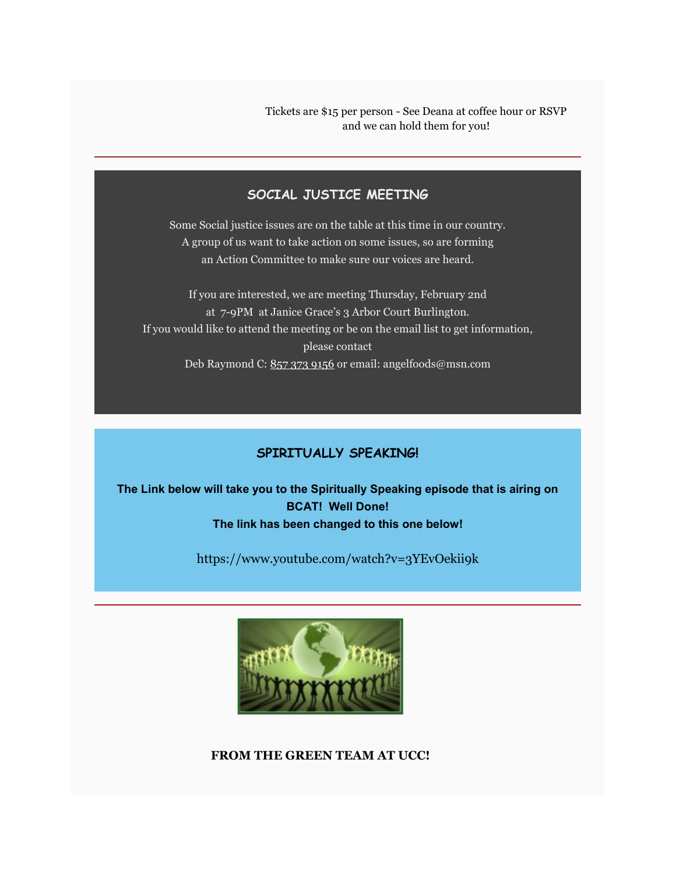Tickets are \$15 per person - See Deana at coffee hour or RSVP and we can hold them for you!

#### **SOCIAL JUSTICE MEETING**

Some Social justice issues are on the table at this time in our country. A group of us want to take action on some issues, so are forming an Action Committee to make sure our voices are heard.

If you are interested, we are meeting Thursday, February 2nd at 7-9PM at Janice Grace's 3 Arbor Court Burlington. If you would like to attend the meeting or be on the email list to get information, please contact Deb Raymond C: 857 373 9156 or email: angelfoods@msn.com

### **SPIRITUALLY SPEAKING!**

**The Link below will take you to the Spiritually Speaking episode that is airing on BCAT! Well Done! The link has been changed to this one below!**

https://www.youtube.com/watch?v=3YEvOekii9k



**FROM THE GREEN TEAM AT UCC!**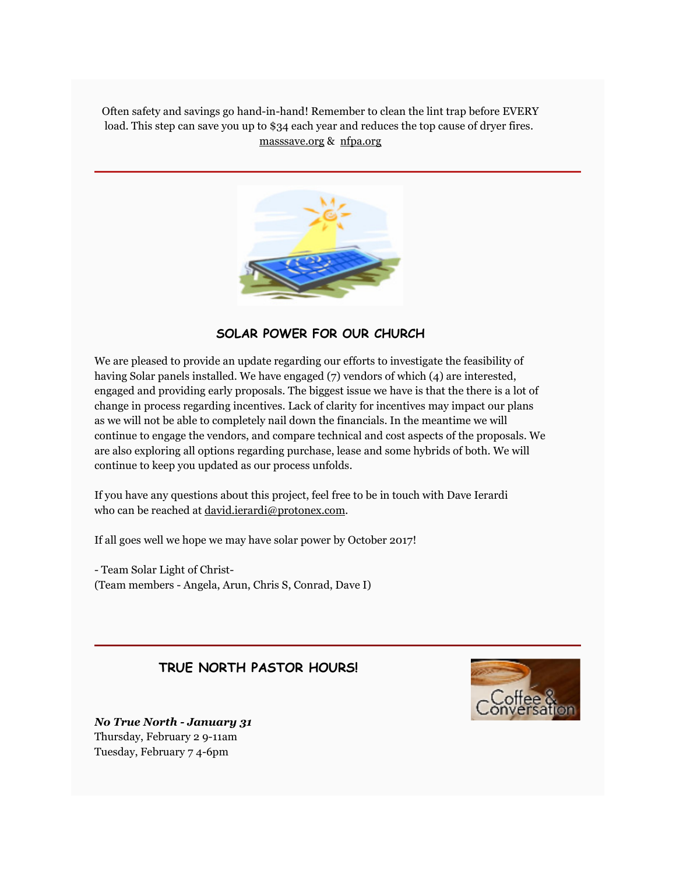Often safety and savings go hand-in-hand! Remember to clean the lint trap before EVERY load. This step can save you up to \$34 each year and reduces the top cause of dryer fires. masssave.org & nfpa.org



#### **SOLAR POWER FOR OUR CHURCH**

We are pleased to provide an update regarding our efforts to investigate the feasibility of having Solar panels installed. We have engaged (7) vendors of which (4) are interested, engaged and providing early proposals. The biggest issue we have is that the there is a lot of change in process regarding incentives. Lack of clarity for incentives may impact our plans as we will not be able to completely nail down the financials. In the meantime we will continue to engage the vendors, and compare technical and cost aspects of the proposals. We are also exploring all options regarding purchase, lease and some hybrids of both. We will continue to keep you updated as our process unfolds.

If you have any questions about this project, feel free to be in touch with Dave Ierardi who can be reached at david.ierardi@protonex.com.

If all goes well we hope we may have solar power by October 2017!

- Team Solar Light of Christ- (Team members - Angela, Arun, Chris S, Conrad, Dave I)

#### **TRUE NORTH PASTOR HOURS!**



*No True North - January 31*  Thursday, February 2 9-11am Tuesday, February 7 4-6pm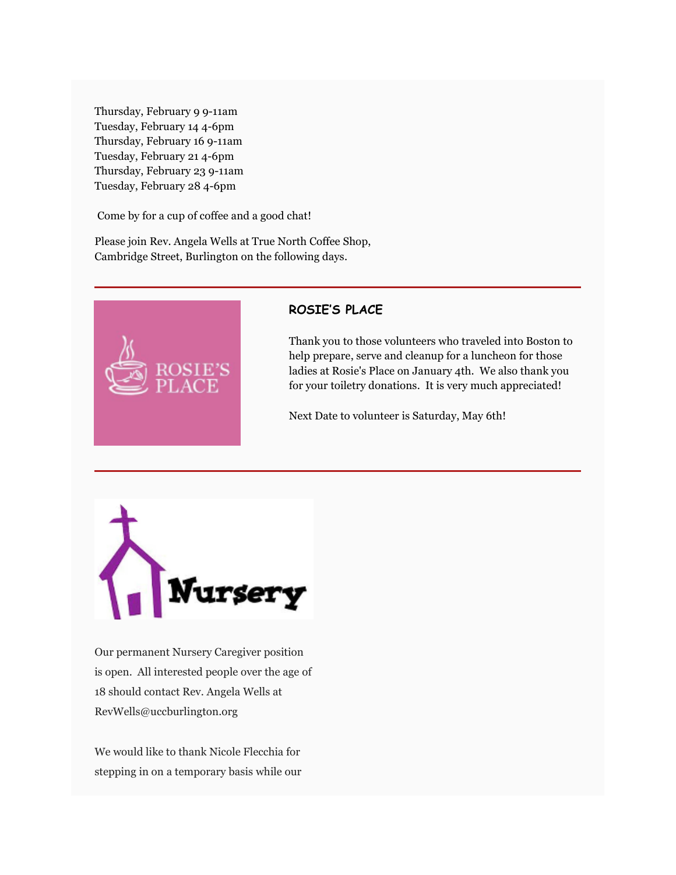Thursday, February 9 9-11am Tuesday, February 14 4-6pm Thursday, February 16 9-11am Tuesday, February 21 4-6pm Thursday, February 23 9-11am Tuesday, February 28 4-6pm

Come by for a cup of coffee and a good chat!

Please join Rev. Angela Wells at True North Coffee Shop, Cambridge Street, Burlington on the following days.



#### **ROSIE'S PLACE**

Thank you to those volunteers who traveled into Boston to help prepare, serve and cleanup for a luncheon for those ladies at Rosie's Place on January 4th. We also thank you for your toiletry donations. It is very much appreciated!

Next Date to volunteer is Saturday, May 6th!



Our permanent Nursery Caregiver position is open. All interested people over the age of 18 should contact Rev. Angela Wells at RevWells@uccburlington.org

We would like to thank Nicole Flecchia for stepping in on a temporary basis while our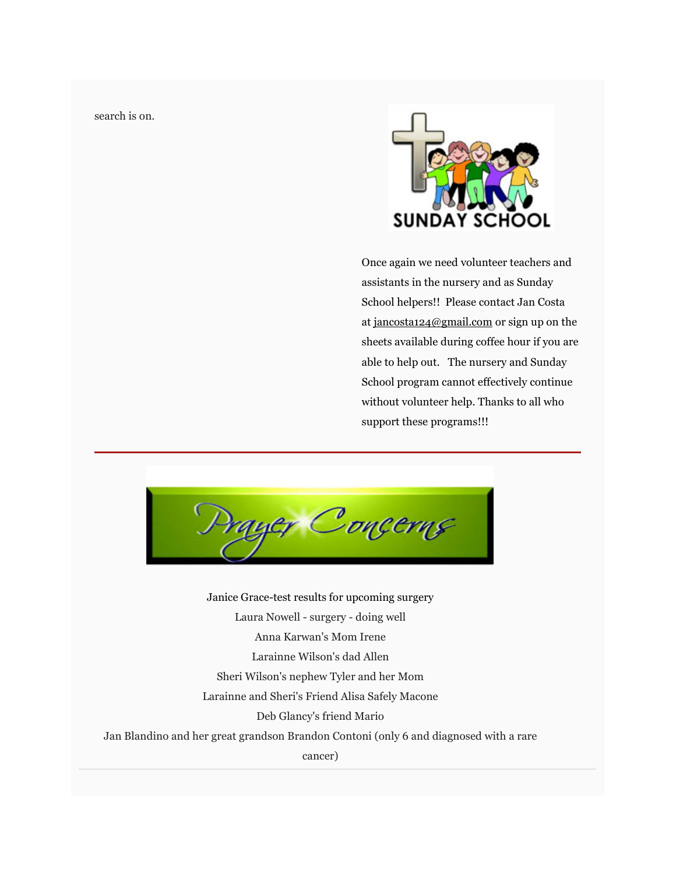search is on.



Once again we need volunteer teachers and assistants in the nursery and as Sunday School helpers!! Please contact Jan Costa at jancosta124@gmail.com or sign up on the sheets available during coffee hour if you are able to help out. The nursery and Sunday School program cannot effectively continue without volunteer help. Thanks to all who support these programs!!!

ryer Concerns

Janice Grace-test results for upcoming surgery Laura Nowell - surgery - doing well Anna Karwan's Mom Irene Larainne Wilson's dad Allen Sheri Wilson's nephew Tyler and her Mom Larainne and Sheri's Friend Alisa Safely Macone Deb Glancy's friend Mario Jan Blandino and her great grandson Brandon Contoni (only 6 and diagnosed with a rare cancer)